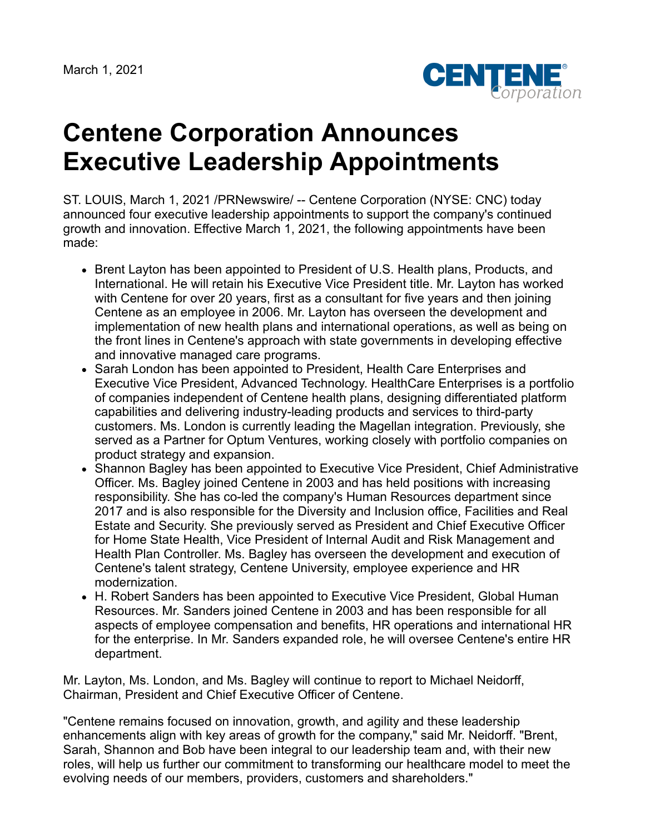March 1, 2021



## **Centene Corporation Announces Executive Leadership Appointments**

ST. LOUIS, March 1, 2021 /PRNewswire/ -- Centene Corporation (NYSE: CNC) today announced four executive leadership appointments to support the company's continued growth and innovation. Effective March 1, 2021, the following appointments have been made:

- Brent Layton has been appointed to President of U.S. Health plans, Products, and International. He will retain his Executive Vice President title. Mr. Layton has worked with Centene for over 20 years, first as a consultant for five years and then joining Centene as an employee in 2006. Mr. Layton has overseen the development and implementation of new health plans and international operations, as well as being on the front lines in Centene's approach with state governments in developing effective and innovative managed care programs.
- Sarah London has been appointed to President, Health Care Enterprises and Executive Vice President, Advanced Technology. HealthCare Enterprises is a portfolio of companies independent of Centene health plans, designing differentiated platform capabilities and delivering industry-leading products and services to third-party customers. Ms. London is currently leading the Magellan integration. Previously, she served as a Partner for Optum Ventures, working closely with portfolio companies on product strategy and expansion.
- Shannon Bagley has been appointed to Executive Vice President, Chief Administrative Officer. Ms. Bagley joined Centene in 2003 and has held positions with increasing responsibility. She has co-led the company's Human Resources department since 2017 and is also responsible for the Diversity and Inclusion office, Facilities and Real Estate and Security. She previously served as President and Chief Executive Officer for Home State Health, Vice President of Internal Audit and Risk Management and Health Plan Controller. Ms. Bagley has overseen the development and execution of Centene's talent strategy, Centene University, employee experience and HR modernization.
- H. Robert Sanders has been appointed to Executive Vice President, Global Human Resources. Mr. Sanders joined Centene in 2003 and has been responsible for all aspects of employee compensation and benefits, HR operations and international HR for the enterprise. In Mr. Sanders expanded role, he will oversee Centene's entire HR department.

Mr. Layton, Ms. London, and Ms. Bagley will continue to report to Michael Neidorff, Chairman, President and Chief Executive Officer of Centene.

"Centene remains focused on innovation, growth, and agility and these leadership enhancements align with key areas of growth for the company," said Mr. Neidorff. "Brent, Sarah, Shannon and Bob have been integral to our leadership team and, with their new roles, will help us further our commitment to transforming our healthcare model to meet the evolving needs of our members, providers, customers and shareholders."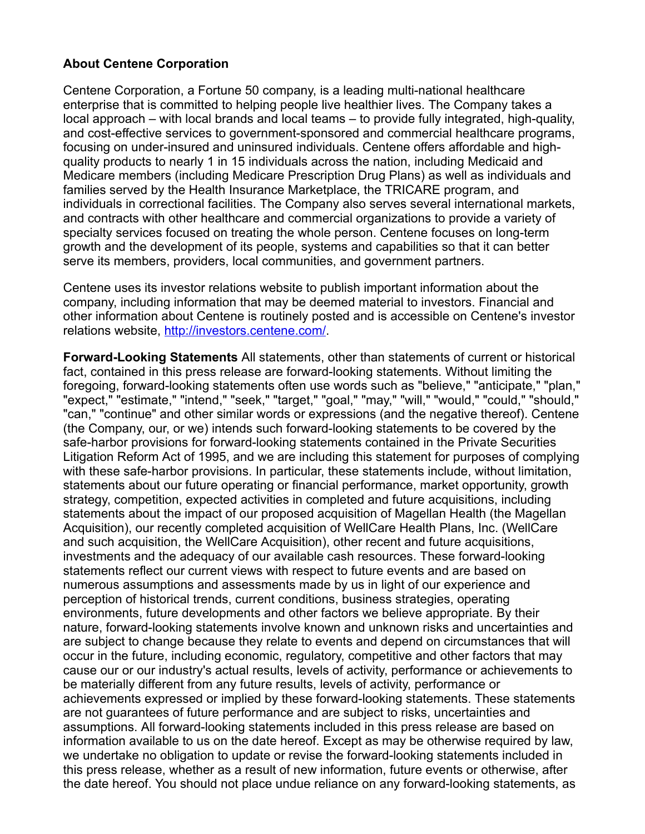## **About Centene Corporation**

Centene Corporation, a Fortune 50 company, is a leading multi-national healthcare enterprise that is committed to helping people live healthier lives. The Company takes a local approach – with local brands and local teams – to provide fully integrated, high-quality, and cost-effective services to government-sponsored and commercial healthcare programs, focusing on under-insured and uninsured individuals. Centene offers affordable and highquality products to nearly 1 in 15 individuals across the nation, including Medicaid and Medicare members (including Medicare Prescription Drug Plans) as well as individuals and families served by the Health Insurance Marketplace, the TRICARE program, and individuals in correctional facilities. The Company also serves several international markets, and contracts with other healthcare and commercial organizations to provide a variety of specialty services focused on treating the whole person. Centene focuses on long-term growth and the development of its people, systems and capabilities so that it can better serve its members, providers, local communities, and government partners.

Centene uses its investor relations website to publish important information about the company, including information that may be deemed material to investors. Financial and other information about Centene is routinely posted and is accessible on Centene's investor relations website, [http://investors.centene.com/.](http://investors.centene.com/)

**Forward-Looking Statements** All statements, other than statements of current or historical fact, contained in this press release are forward-looking statements. Without limiting the foregoing, forward-looking statements often use words such as "believe," "anticipate," "plan," "expect," "estimate," "intend," "seek," "target," "goal," "may," "will," "would," "could," "should," "can," "continue" and other similar words or expressions (and the negative thereof). Centene (the Company, our, or we) intends such forward-looking statements to be covered by the safe-harbor provisions for forward-looking statements contained in the Private Securities Litigation Reform Act of 1995, and we are including this statement for purposes of complying with these safe-harbor provisions. In particular, these statements include, without limitation, statements about our future operating or financial performance, market opportunity, growth strategy, competition, expected activities in completed and future acquisitions, including statements about the impact of our proposed acquisition of Magellan Health (the Magellan Acquisition), our recently completed acquisition of WellCare Health Plans, Inc. (WellCare and such acquisition, the WellCare Acquisition), other recent and future acquisitions, investments and the adequacy of our available cash resources. These forward-looking statements reflect our current views with respect to future events and are based on numerous assumptions and assessments made by us in light of our experience and perception of historical trends, current conditions, business strategies, operating environments, future developments and other factors we believe appropriate. By their nature, forward-looking statements involve known and unknown risks and uncertainties and are subject to change because they relate to events and depend on circumstances that will occur in the future, including economic, regulatory, competitive and other factors that may cause our or our industry's actual results, levels of activity, performance or achievements to be materially different from any future results, levels of activity, performance or achievements expressed or implied by these forward-looking statements. These statements are not guarantees of future performance and are subject to risks, uncertainties and assumptions. All forward-looking statements included in this press release are based on information available to us on the date hereof. Except as may be otherwise required by law, we undertake no obligation to update or revise the forward-looking statements included in this press release, whether as a result of new information, future events or otherwise, after the date hereof. You should not place undue reliance on any forward-looking statements, as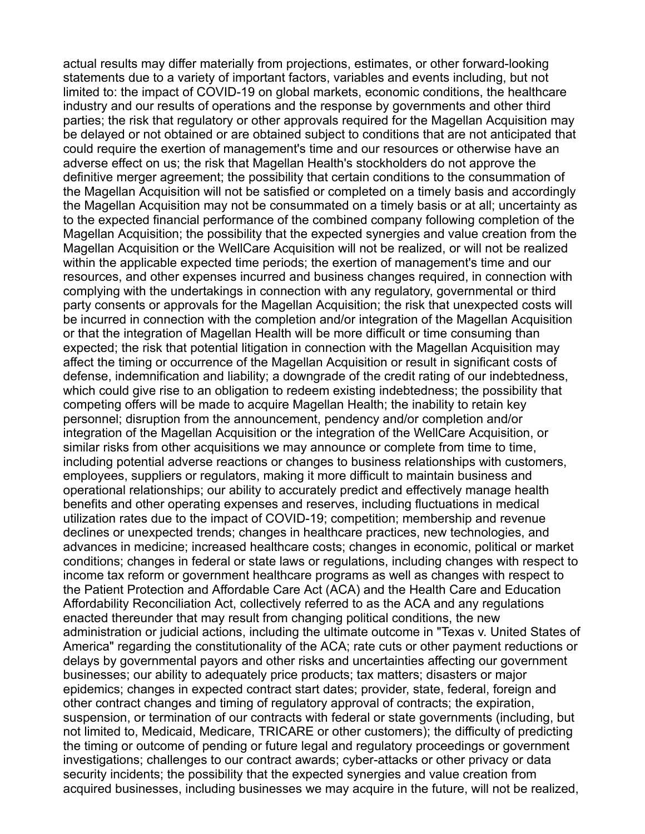actual results may differ materially from projections, estimates, or other forward-looking statements due to a variety of important factors, variables and events including, but not limited to: the impact of COVID-19 on global markets, economic conditions, the healthcare industry and our results of operations and the response by governments and other third parties; the risk that regulatory or other approvals required for the Magellan Acquisition may be delayed or not obtained or are obtained subject to conditions that are not anticipated that could require the exertion of management's time and our resources or otherwise have an adverse effect on us; the risk that Magellan Health's stockholders do not approve the definitive merger agreement; the possibility that certain conditions to the consummation of the Magellan Acquisition will not be satisfied or completed on a timely basis and accordingly the Magellan Acquisition may not be consummated on a timely basis or at all; uncertainty as to the expected financial performance of the combined company following completion of the Magellan Acquisition; the possibility that the expected synergies and value creation from the Magellan Acquisition or the WellCare Acquisition will not be realized, or will not be realized within the applicable expected time periods; the exertion of management's time and our resources, and other expenses incurred and business changes required, in connection with complying with the undertakings in connection with any regulatory, governmental or third party consents or approvals for the Magellan Acquisition; the risk that unexpected costs will be incurred in connection with the completion and/or integration of the Magellan Acquisition or that the integration of Magellan Health will be more difficult or time consuming than expected; the risk that potential litigation in connection with the Magellan Acquisition may affect the timing or occurrence of the Magellan Acquisition or result in significant costs of defense, indemnification and liability; a downgrade of the credit rating of our indebtedness, which could give rise to an obligation to redeem existing indebtedness; the possibility that competing offers will be made to acquire Magellan Health; the inability to retain key personnel; disruption from the announcement, pendency and/or completion and/or integration of the Magellan Acquisition or the integration of the WellCare Acquisition, or similar risks from other acquisitions we may announce or complete from time to time, including potential adverse reactions or changes to business relationships with customers, employees, suppliers or regulators, making it more difficult to maintain business and operational relationships; our ability to accurately predict and effectively manage health benefits and other operating expenses and reserves, including fluctuations in medical utilization rates due to the impact of COVID-19; competition; membership and revenue declines or unexpected trends; changes in healthcare practices, new technologies, and advances in medicine; increased healthcare costs; changes in economic, political or market conditions; changes in federal or state laws or regulations, including changes with respect to income tax reform or government healthcare programs as well as changes with respect to the Patient Protection and Affordable Care Act (ACA) and the Health Care and Education Affordability Reconciliation Act, collectively referred to as the ACA and any regulations enacted thereunder that may result from changing political conditions, the new administration or judicial actions, including the ultimate outcome in "Texas v. United States of America" regarding the constitutionality of the ACA; rate cuts or other payment reductions or delays by governmental payors and other risks and uncertainties affecting our government businesses; our ability to adequately price products; tax matters; disasters or major epidemics; changes in expected contract start dates; provider, state, federal, foreign and other contract changes and timing of regulatory approval of contracts; the expiration, suspension, or termination of our contracts with federal or state governments (including, but not limited to, Medicaid, Medicare, TRICARE or other customers); the difficulty of predicting the timing or outcome of pending or future legal and regulatory proceedings or government investigations; challenges to our contract awards; cyber-attacks or other privacy or data security incidents; the possibility that the expected synergies and value creation from acquired businesses, including businesses we may acquire in the future, will not be realized,